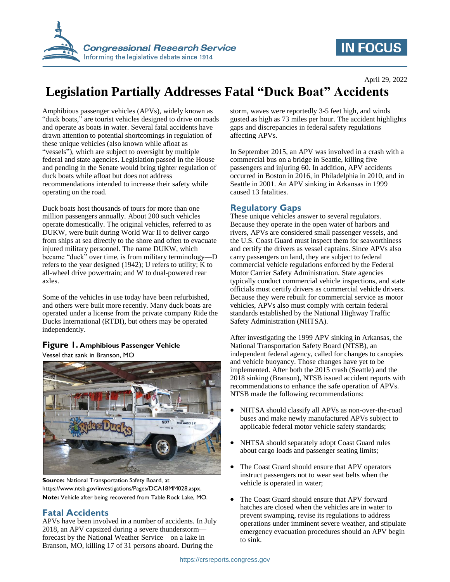

# **IN FOCUS**

# **Legislation Partially Addresses Fatal "Duck Boat" Accidents**

Amphibious passenger vehicles (APVs), widely known as "duck boats," are tourist vehicles designed to drive on roads and operate as boats in water. Several fatal accidents have drawn attention to potential shortcomings in regulation of these unique vehicles (also known while afloat as "vessels"), which are subject to oversight by multiple federal and state agencies. Legislation passed in the House and pending in the Senate would bring tighter regulation of duck boats while afloat but does not address recommendations intended to increase their safety while operating on the road.

Duck boats host thousands of tours for more than one million passengers annually. About 200 such vehicles operate domestically. The original vehicles, referred to as DUKW, were built during World War II to deliver cargo from ships at sea directly to the shore and often to evacuate injured military personnel. The name DUKW, which became "duck" over time, is from military terminology—D refers to the year designed (1942); U refers to utility; K to all-wheel drive powertrain; and W to dual-powered rear axles.

Some of the vehicles in use today have been refurbished, and others were built more recently. Many duck boats are operated under a license from the private company Ride the Ducks International (RTDI), but others may be operated independently.

#### **Figure 1. Amphibious Passenger Vehicle**

Vessel that sank in Branson, MO



**Source:** National Transportation Safety Board, at https://www.ntsb.gov/investigations/Pages/DCA18MM028.aspx. **Note:** Vehicle after being recovered from Table Rock Lake, MO.

## **Fatal Accidents**

APVs have been involved in a number of accidents. In July 2018, an APV capsized during a severe thunderstorm forecast by the National Weather Service—on a lake in Branson, MO, killing 17 of 31 persons aboard. During the

storm, waves were reportedly 3-5 feet high, and winds gusted as high as 73 miles per hour. The accident highlights gaps and discrepancies in federal safety regulations affecting APVs.

In September 2015, an APV was involved in a crash with a commercial bus on a bridge in Seattle, killing five passengers and injuring 60. In addition, APV accidents occurred in Boston in 2016, in Philadelphia in 2010, and in Seattle in 2001. An APV sinking in Arkansas in 1999 caused 13 fatalities.

### **Regulatory Gaps**

These unique vehicles answer to several regulators. Because they operate in the open water of harbors and rivers, APVs are considered small passenger vessels, and the U.S. Coast Guard must inspect them for seaworthiness and certify the drivers as vessel captains. Since APVs also carry passengers on land, they are subject to federal commercial vehicle regulations enforced by the Federal Motor Carrier Safety Administration. State agencies typically conduct commercial vehicle inspections, and state officials must certify drivers as commercial vehicle drivers. Because they were rebuilt for commercial service as motor vehicles, APVs also must comply with certain federal standards established by the National Highway Traffic Safety Administration (NHTSA).

After investigating the 1999 APV sinking in Arkansas, the National Transportation Safety Board (NTSB), an independent federal agency, called for changes to canopies and vehicle buoyancy. Those changes have yet to be implemented. After both the 2015 crash (Seattle) and the 2018 sinking (Branson), NTSB issued accident reports with recommendations to enhance the safe operation of APVs. NTSB made the following recommendations:

- NHTSA should classify all APVs as non-over-the-road buses and make newly manufactured APVs subject to applicable federal motor vehicle safety standards;
- NHTSA should separately adopt Coast Guard rules about cargo loads and passenger seating limits;
- The Coast Guard should ensure that APV operators instruct passengers not to wear seat belts when the vehicle is operated in water;
- The Coast Guard should ensure that APV forward hatches are closed when the vehicles are in water to prevent swamping, revise its regulations to address operations under imminent severe weather, and stipulate emergency evacuation procedures should an APV begin to sink.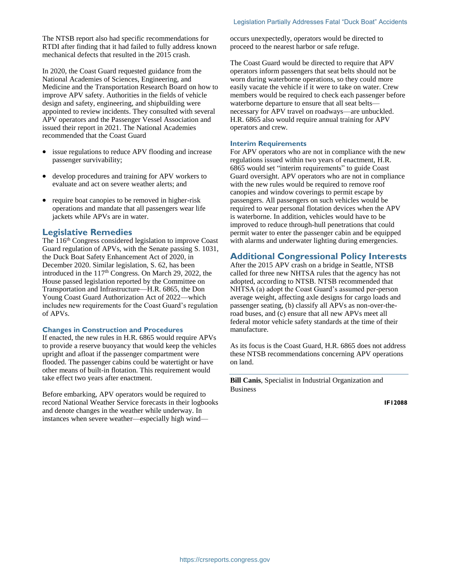The NTSB report also had specific recommendations for RTDI after finding that it had failed to fully address known mechanical defects that resulted in the 2015 crash.

In 2020, the Coast Guard requested guidance from the National Academies of Sciences, Engineering, and Medicine and the Transportation Research Board on how to improve APV safety. Authorities in the fields of vehicle design and safety, engineering, and shipbuilding were appointed to review incidents. They consulted with several APV operators and the Passenger Vessel Association and issued their report in 2021. The National Academies recommended that the Coast Guard

- issue regulations to reduce APV flooding and increase passenger survivability;
- develop procedures and training for APV workers to evaluate and act on severe weather alerts; and
- require boat canopies to be removed in higher-risk operations and mandate that all passengers wear life jackets while APVs are in water.

#### **Legislative Remedies**

The 116<sup>th</sup> Congress considered legislation to improve Coast Guard regulation of APVs, with the Senate passing S. 1031, the Duck Boat Safety Enhancement Act of 2020, in December 2020. Similar legislation, S. 62, has been introduced in the  $117<sup>th</sup>$  Congress. On March 29, 2022, the House passed legislation reported by the Committee on Transportation and Infrastructure—H.R. 6865, the Don Young Coast Guard Authorization Act of 2022—which includes new requirements for the Coast Guard's regulation of APVs.

#### **Changes in Construction and Procedures**

If enacted, the new rules in H.R. 6865 would require APVs to provide a reserve buoyancy that would keep the vehicles upright and afloat if the passenger compartment were flooded. The passenger cabins could be watertight or have other means of built-in flotation. This requirement would take effect two years after enactment.

Before embarking, APV operators would be required to record National Weather Service forecasts in their logbooks and denote changes in the weather while underway. In instances when severe weather—especially high windoccurs unexpectedly, operators would be directed to proceed to the nearest harbor or safe refuge.

The Coast Guard would be directed to require that APV operators inform passengers that seat belts should not be worn during waterborne operations, so they could more easily vacate the vehicle if it were to take on water. Crew members would be required to check each passenger before waterborne departure to ensure that all seat belts necessary for APV travel on roadways—are unbuckled. H.R. 6865 also would require annual training for APV operators and crew.

#### **Interim Requirements**

For APV operators who are not in compliance with the new regulations issued within two years of enactment, H.R. 6865 would set "interim requirements" to guide Coast Guard oversight. APV operators who are not in compliance with the new rules would be required to remove roof canopies and window coverings to permit escape by passengers. All passengers on such vehicles would be required to wear personal flotation devices when the APV is waterborne. In addition, vehicles would have to be improved to reduce through-hull penetrations that could permit water to enter the passenger cabin and be equipped with alarms and underwater lighting during emergencies.

### **Additional Congressional Policy Interests**

After the 2015 APV crash on a bridge in Seattle, NTSB called for three new NHTSA rules that the agency has not adopted, according to NTSB. NTSB recommended that NHTSA (a) adopt the Coast Guard's assumed per-person average weight, affecting axle designs for cargo loads and passenger seating, (b) classify all APVs as non-over-theroad buses, and (c) ensure that all new APVs meet all federal motor vehicle safety standards at the time of their manufacture.

As its focus is the Coast Guard, H.R. 6865 does not address these NTSB recommendations concerning APV operations on land.

**Bill Canis**, Specialist in Industrial Organization and Business

**IF12088**